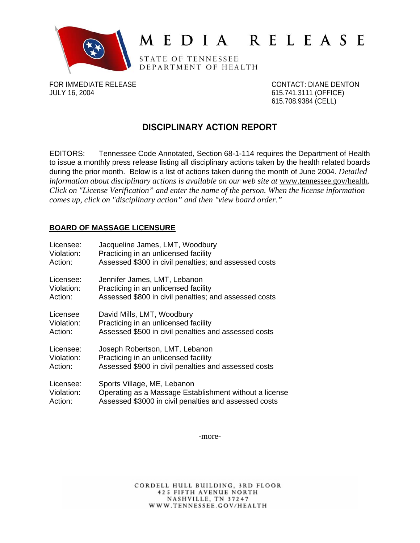

# MEDIA RELEASE

STATE OF TENNESSEE DEPARTMENT OF HEALTH

FOR IMMEDIATE RELEASE CONTACT: DIANE DENTON JULY 16, 2004 615.741.3111 (OFFICE)

615.708.9384 (CELL)

# **DISCIPLINARY ACTION REPORT**

EDITORS: Tennessee Code Annotated, Section 68-1-114 requires the Department of Health to issue a monthly press release listing all disciplinary actions taken by the health related boards during the prior month. Below is a list of actions taken during the month of June 2004. *Detailed*  information about disciplinary actions is available on our web site at www.tennessee.gov/health. *Click on "License Verification" and enter the name of the person. When the license information comes up, click on "disciplinary action" and then "view board order."* 

# **BOARD OF MASSAGE LICENSURE**

| Licensee:  | Jacqueline James, LMT, Woodbury                        |
|------------|--------------------------------------------------------|
| Violation: | Practicing in an unlicensed facility                   |
| Action:    | Assessed \$300 in civil penalties; and assessed costs  |
| Licensee:  | Jennifer James, LMT, Lebanon                           |
| Violation: | Practicing in an unlicensed facility                   |
| Action:    | Assessed \$800 in civil penalties; and assessed costs  |
| Licensee   | David Mills, LMT, Woodbury                             |
| Violation: | Practicing in an unlicensed facility                   |
| Action:    | Assessed \$500 in civil penalties and assessed costs   |
| Licensee:  | Joseph Robertson, LMT, Lebanon                         |
| Violation: | Practicing in an unlicensed facility                   |
| Action:    | Assessed \$900 in civil penalties and assessed costs   |
| Licensee:  | Sports Village, ME, Lebanon                            |
| Violation: | Operating as a Massage Establishment without a license |
| Action:    | Assessed \$3000 in civil penalties and assessed costs  |

-more-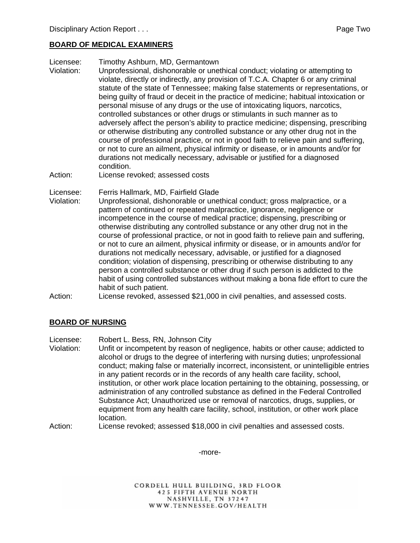### **BOARD OF MEDICAL EXAMINERS**

- Licensee: Timothy Ashburn, MD, Germantown
- Violation: Unprofessional, dishonorable or unethical conduct; violating or attempting to violate, directly or indirectly, any provision of T.C.A. Chapter 6 or any criminal statute of the state of Tennessee; making false statements or representations, or being guilty of fraud or deceit in the practice of medicine; habitual intoxication or personal misuse of any drugs or the use of intoxicating liquors, narcotics, controlled substances or other drugs or stimulants in such manner as to adversely affect the person's ability to practice medicine; dispensing, prescribing or otherwise distributing any controlled substance or any other drug not in the course of professional practice, or not in good faith to relieve pain and suffering, or not to cure an ailment, physical infirmity or disease, or in amounts and/or for durations not medically necessary, advisable or justified for a diagnosed condition.
- Action: License revoked; assessed costs

Licensee: Ferris Hallmark, MD, Fairfield Glade

- Violation: Unprofessional, dishonorable or unethical conduct; gross malpractice, or a pattern of continued or repeated malpractice, ignorance, negligence or incompetence in the course of medical practice; dispensing, prescribing or otherwise distributing any controlled substance or any other drug not in the course of professional practice, or not in good faith to relieve pain and suffering, or not to cure an ailment, physical infirmity or disease, or in amounts and/or for durations not medically necessary, advisable, or justified for a diagnosed condition; violation of dispensing, prescribing or otherwise distributing to any person a controlled substance or other drug if such person is addicted to the habit of using controlled substances without making a bona fide effort to cure the habit of such patient.
- Action: License revoked, assessed \$21,000 in civil penalties, and assessed costs.

# **BOARD OF NURSING**

Licensee: Robert L. Bess, RN, Johnson City

- Violation: Unfit or incompetent by reason of negligence, habits or other cause; addicted to alcohol or drugs to the degree of interfering with nursing duties; unprofessional conduct; making false or materially incorrect, inconsistent, or unintelligible entries in any patient records or in the records of any health care facility, school, institution, or other work place location pertaining to the obtaining, possessing, or administration of any controlled substance as defined in the Federal Controlled Substance Act; Unauthorized use or removal of narcotics, drugs, supplies, or equipment from any health care facility, school, institution, or other work place location.
- Action: License revoked; assessed \$18,000 in civil penalties and assessed costs.

-more-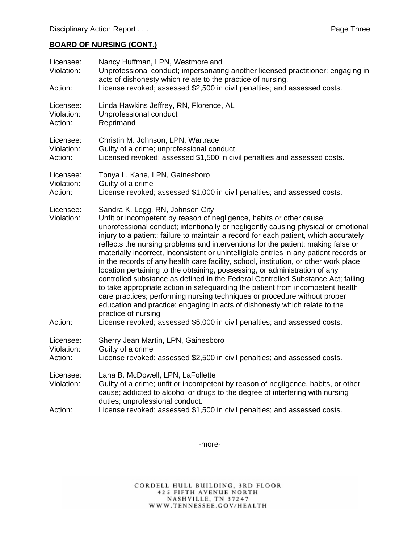# **BOARD OF NURSING (CONT.)**

| Licensee:<br>Violation:<br>Action: | Nancy Huffman, LPN, Westmoreland<br>Unprofessional conduct; impersonating another licensed practitioner; engaging in<br>acts of dishonesty which relate to the practice of nursing.<br>License revoked; assessed \$2,500 in civil penalties; and assessed costs.                                                                                                                                                                                                                                                                                                                                                                                                                                                                                                                                                                                                                                                                                                                                                                                                                |
|------------------------------------|---------------------------------------------------------------------------------------------------------------------------------------------------------------------------------------------------------------------------------------------------------------------------------------------------------------------------------------------------------------------------------------------------------------------------------------------------------------------------------------------------------------------------------------------------------------------------------------------------------------------------------------------------------------------------------------------------------------------------------------------------------------------------------------------------------------------------------------------------------------------------------------------------------------------------------------------------------------------------------------------------------------------------------------------------------------------------------|
| Licensee:                          | Linda Hawkins Jeffrey, RN, Florence, AL                                                                                                                                                                                                                                                                                                                                                                                                                                                                                                                                                                                                                                                                                                                                                                                                                                                                                                                                                                                                                                         |
| Violation:                         | Unprofessional conduct                                                                                                                                                                                                                                                                                                                                                                                                                                                                                                                                                                                                                                                                                                                                                                                                                                                                                                                                                                                                                                                          |
| Action:                            | Reprimand                                                                                                                                                                                                                                                                                                                                                                                                                                                                                                                                                                                                                                                                                                                                                                                                                                                                                                                                                                                                                                                                       |
| Licensee:                          | Christin M. Johnson, LPN, Wartrace                                                                                                                                                                                                                                                                                                                                                                                                                                                                                                                                                                                                                                                                                                                                                                                                                                                                                                                                                                                                                                              |
| Violation:                         | Guilty of a crime; unprofessional conduct                                                                                                                                                                                                                                                                                                                                                                                                                                                                                                                                                                                                                                                                                                                                                                                                                                                                                                                                                                                                                                       |
| Action:                            | Licensed revoked; assessed \$1,500 in civil penalties and assessed costs.                                                                                                                                                                                                                                                                                                                                                                                                                                                                                                                                                                                                                                                                                                                                                                                                                                                                                                                                                                                                       |
| Licensee:                          | Tonya L. Kane, LPN, Gainesboro                                                                                                                                                                                                                                                                                                                                                                                                                                                                                                                                                                                                                                                                                                                                                                                                                                                                                                                                                                                                                                                  |
| Violation:                         | Guilty of a crime                                                                                                                                                                                                                                                                                                                                                                                                                                                                                                                                                                                                                                                                                                                                                                                                                                                                                                                                                                                                                                                               |
| Action:                            | License revoked; assessed \$1,000 in civil penalties; and assessed costs.                                                                                                                                                                                                                                                                                                                                                                                                                                                                                                                                                                                                                                                                                                                                                                                                                                                                                                                                                                                                       |
| Licensee:<br>Violation:<br>Action: | Sandra K. Legg, RN, Johnson City<br>Unfit or incompetent by reason of negligence, habits or other cause;<br>unprofessional conduct; intentionally or negligently causing physical or emotional<br>injury to a patient; failure to maintain a record for each patient, which accurately<br>reflects the nursing problems and interventions for the patient; making false or<br>materially incorrect, inconsistent or unintelligible entries in any patient records or<br>in the records of any health care facility, school, institution, or other work place<br>location pertaining to the obtaining, possessing, or administration of any<br>controlled substance as defined in the Federal Controlled Substance Act; failing<br>to take appropriate action in safeguarding the patient from incompetent health<br>care practices; performing nursing techniques or procedure without proper<br>education and practice; engaging in acts of dishonesty which relate to the<br>practice of nursing<br>License revoked; assessed \$5,000 in civil penalties; and assessed costs. |
| Licensee:                          | Sherry Jean Martin, LPN, Gainesboro                                                                                                                                                                                                                                                                                                                                                                                                                                                                                                                                                                                                                                                                                                                                                                                                                                                                                                                                                                                                                                             |
| Violation:                         | Guilty of a crime                                                                                                                                                                                                                                                                                                                                                                                                                                                                                                                                                                                                                                                                                                                                                                                                                                                                                                                                                                                                                                                               |
| Action:                            | License revoked; assessed \$2,500 in civil penalties; and assessed costs.                                                                                                                                                                                                                                                                                                                                                                                                                                                                                                                                                                                                                                                                                                                                                                                                                                                                                                                                                                                                       |
| Licensee:<br>Violation:            | Lana B. McDowell, LPN, LaFollette<br>Guilty of a crime; unfit or incompetent by reason of negligence, habits, or other<br>cause; addicted to alcohol or drugs to the degree of interfering with nursing<br>duties; unprofessional conduct.                                                                                                                                                                                                                                                                                                                                                                                                                                                                                                                                                                                                                                                                                                                                                                                                                                      |
| Action:                            | License revoked; assessed \$1,500 in civil penalties; and assessed costs.                                                                                                                                                                                                                                                                                                                                                                                                                                                                                                                                                                                                                                                                                                                                                                                                                                                                                                                                                                                                       |

-more-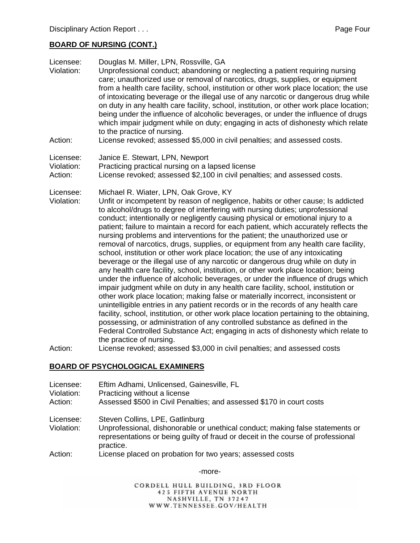#### **BOARD OF NURSING (CONT.)**

| Licensee:<br>Violation:<br>Action: | Douglas M. Miller, LPN, Rossville, GA<br>Unprofessional conduct; abandoning or neglecting a patient requiring nursing<br>care; unauthorized use or removal of narcotics, drugs, supplies, or equipment<br>from a health care facility, school, institution or other work place location; the use<br>of intoxicating beverage or the illegal use of any narcotic or dangerous drug while<br>on duty in any health care facility, school, institution, or other work place location;<br>being under the influence of alcoholic beverages, or under the influence of drugs<br>which impair judgment while on duty; engaging in acts of dishonesty which relate<br>to the practice of nursing.<br>License revoked; assessed \$5,000 in civil penalties; and assessed costs.                                                                                                                                                                                                                                                                                                                                                                                                                                                                                                                                                                                                                                                                                             |
|------------------------------------|---------------------------------------------------------------------------------------------------------------------------------------------------------------------------------------------------------------------------------------------------------------------------------------------------------------------------------------------------------------------------------------------------------------------------------------------------------------------------------------------------------------------------------------------------------------------------------------------------------------------------------------------------------------------------------------------------------------------------------------------------------------------------------------------------------------------------------------------------------------------------------------------------------------------------------------------------------------------------------------------------------------------------------------------------------------------------------------------------------------------------------------------------------------------------------------------------------------------------------------------------------------------------------------------------------------------------------------------------------------------------------------------------------------------------------------------------------------------|
|                                    |                                                                                                                                                                                                                                                                                                                                                                                                                                                                                                                                                                                                                                                                                                                                                                                                                                                                                                                                                                                                                                                                                                                                                                                                                                                                                                                                                                                                                                                                     |
| Licensee:                          | Janice E. Stewart, LPN, Newport                                                                                                                                                                                                                                                                                                                                                                                                                                                                                                                                                                                                                                                                                                                                                                                                                                                                                                                                                                                                                                                                                                                                                                                                                                                                                                                                                                                                                                     |
| Violation:<br>Action:              | Practicing practical nursing on a lapsed license<br>License revoked; assessed \$2,100 in civil penalties; and assessed costs.                                                                                                                                                                                                                                                                                                                                                                                                                                                                                                                                                                                                                                                                                                                                                                                                                                                                                                                                                                                                                                                                                                                                                                                                                                                                                                                                       |
|                                    |                                                                                                                                                                                                                                                                                                                                                                                                                                                                                                                                                                                                                                                                                                                                                                                                                                                                                                                                                                                                                                                                                                                                                                                                                                                                                                                                                                                                                                                                     |
| Licensee:<br>Violation:            | Michael R. Wiater, LPN, Oak Grove, KY<br>Unfit or incompetent by reason of negligence, habits or other cause; Is addicted<br>to alcohol/drugs to degree of interfering with nursing duties; unprofessional<br>conduct; intentionally or negligently causing physical or emotional injury to a<br>patient; failure to maintain a record for each patient, which accurately reflects the<br>nursing problems and interventions for the patient; the unauthorized use or<br>removal of narcotics, drugs, supplies, or equipment from any health care facility,<br>school, institution or other work place location; the use of any intoxicating<br>beverage or the illegal use of any narcotic or dangerous drug while on duty in<br>any health care facility, school, institution, or other work place location; being<br>under the influence of alcoholic beverages, or under the influence of drugs which<br>impair judgment while on duty in any health care facility, school, institution or<br>other work place location; making false or materially incorrect, inconsistent or<br>unintelligible entries in any patient records or in the records of any health care<br>facility, school, institution, or other work place location pertaining to the obtaining,<br>possessing, or administration of any controlled substance as defined in the<br>Federal Controlled Substance Act; engaging in acts of dishonesty which relate to<br>the practice of nursing. |
| Action:                            | License revoked; assessed \$3,000 in civil penalties; and assessed costs                                                                                                                                                                                                                                                                                                                                                                                                                                                                                                                                                                                                                                                                                                                                                                                                                                                                                                                                                                                                                                                                                                                                                                                                                                                                                                                                                                                            |

#### **BOARD OF PSYCHOLOGICAL EXAMINERS**

- Licensee: Eftim Adhami, Unlicensed, Gainesville, FL
- Violation: Practicing without a license
- Action: Assessed \$500 in Civil Penalties; and assessed \$170 in court costs
- Licensee: Steven Collins, LPE, Gatlinburg
- Violation: Unprofessional, dishonorable or unethical conduct; making false statements or representations or being guilty of fraud or deceit in the course of professional practice.
- Action: License placed on probation for two years; assessed costs

-more-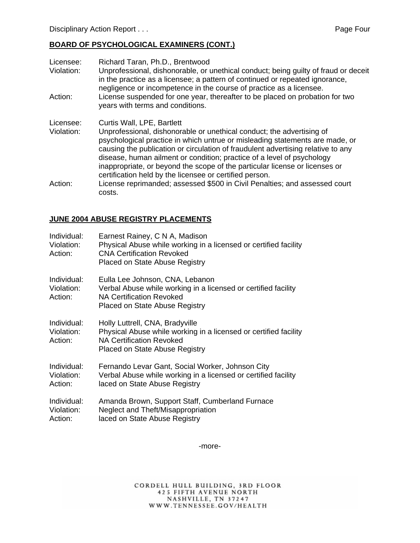#### **BOARD OF PSYCHOLOGICAL EXAMINERS (CONT.)**

Licensee: Richard Taran, Ph.D., Brentwood Violation: Unprofessional, dishonorable, or unethical conduct; being guilty of fraud or deceit in the practice as a licensee; a pattern of continued or repeated ignorance, negligence or incompetence in the course of practice as a licensee. Action: License suspended for one year, thereafter to be placed on probation for two years with terms and conditions. Licensee: Curtis Wall, LPE, Bartlett Violation: Unprofessional, dishonorable or unethical conduct; the advertising of psychological practice in which untrue or misleading statements are made, or causing the publication or circulation of fraudulent advertising relative to any disease, human ailment or condition; practice of a level of psychology inappropriate, or beyond the scope of the particular license or licenses or certification held by the licensee or certified person. Action: License reprimanded; assessed \$500 in Civil Penalties; and assessed court costs.

#### **JUNE 2004 ABUSE REGISTRY PLACEMENTS**

| Individual:<br>Violation:<br>Action: | Earnest Rainey, C N A, Madison<br>Physical Abuse while working in a licensed or certified facility<br><b>CNA Certification Revoked</b><br><b>Placed on State Abuse Registry</b> |
|--------------------------------------|---------------------------------------------------------------------------------------------------------------------------------------------------------------------------------|
| Individual:<br>Violation:<br>Action: | Eulla Lee Johnson, CNA, Lebanon<br>Verbal Abuse while working in a licensed or certified facility<br><b>NA Certification Revoked</b><br>Placed on State Abuse Registry          |
| Individual:<br>Violation:<br>Action: | Holly Luttrell, CNA, Bradyville<br>Physical Abuse while working in a licensed or certified facility<br><b>NA Certification Revoked</b><br><b>Placed on State Abuse Registry</b> |
| Individual:<br>Violation:<br>Action: | Fernando Levar Gant, Social Worker, Johnson City<br>Verbal Abuse while working in a licensed or certified facility<br>laced on State Abuse Registry                             |
| Individual:<br>Violation:<br>Action: | Amanda Brown, Support Staff, Cumberland Furnace<br>Neglect and Theft/Misappropriation<br>laced on State Abuse Registry                                                          |

-more-